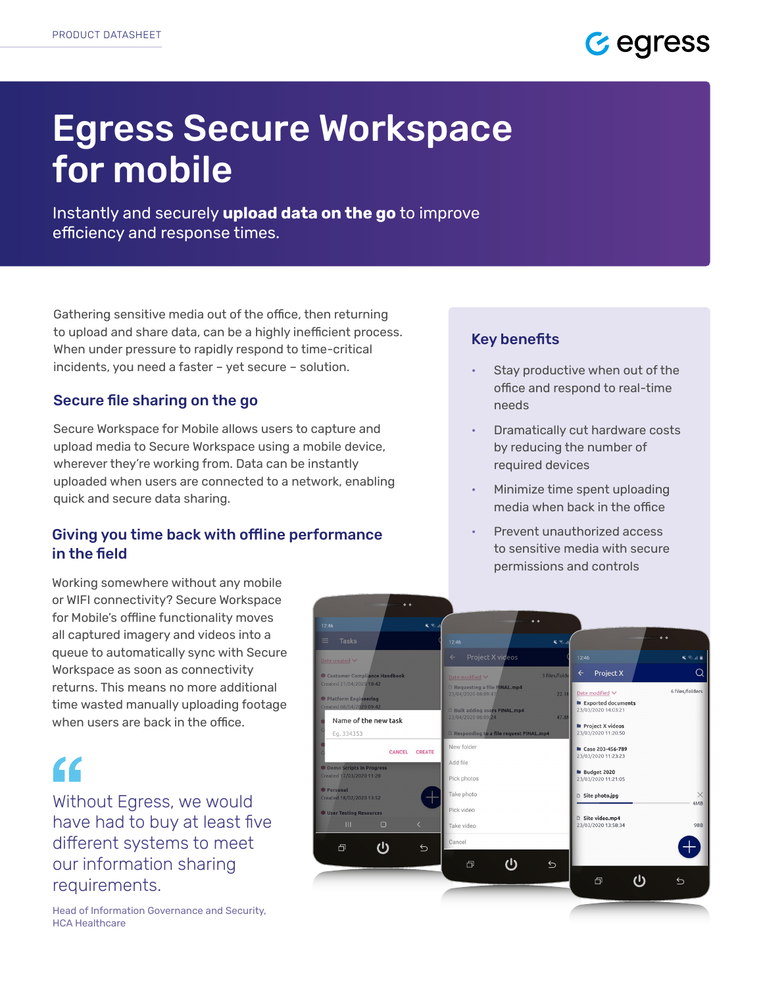

# Egress Secure Workspace for mobile

Instantly and securely **upload data on the go** to improve efficiency and response times.

Gathering sensitive media out of the office, then returning to upload and share data, can be a highly inefficient process. When under pressure to rapidly respond to time-critical incidents, you need a faster – yet secure – solution.

### Secure file sharing on the go

Secure Workspace for Mobile allows users to capture and upload media to Secure Workspace using a mobile device, wherever they're working from. Data can be instantly uploaded when users are connected to a network, enabling quick and secure data sharing.

# Giving you time back with offline performance in the field

# Key benefits

- Stay productive when out of the office and respond to real-time needs
- Dramatically cut hardware costs by reducing the number of required devices
- Minimize time spent uploading media when back in the office
- Prevent unauthorized access to sensitive media with secure permissions and controls

Working somewhere without any mobile or WIFI connectivity? Secure Workspace for Mobile's offline functionality moves all captured imagery and videos into a queue to automatically sync with Secure Workspace as soon as connectivity returns. This means no more additional time wasted manually uploading footage when users are back in the office.

# $\epsilon$

Without Egress, we would have had to buy at least five different systems to meet our information sharing requirements.

Head of Information Governance and Security, HCA Healthcare